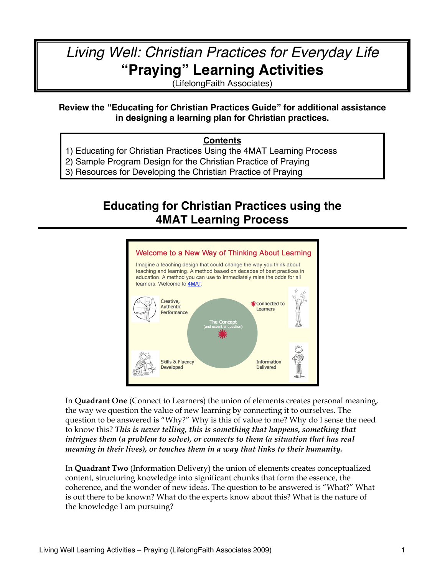# *Living Well: Christian Practices for Everyday Life* **"Praying" Learning Activities**

(LifelongFaith Associates)

### **Review the "Educating for Christian Practices Guide" for additional assistance in designing a learning plan for Christian practices.**

#### **Contents**

- 1) Educating for Christian Practices Using the 4MAT Learning Process
- 2) Sample Program Design for the Christian Practice of Praying
- 3) Resources for Developing the Christian Practice of Praying

# **Educating for Christian Practices using the 4MAT Learning Process**



In **Quadrant One** (Connect to Learners) the union of elements creates personal meaning, the way we question the value of new learning by connecting it to ourselves. The question to be answered is "Why?" Why is this of value to me? Why do I sense the need to know this? *This is never telling, this is something that happens, something that intrigues them (a problem to solve), or connects to them (a situation that has real meaning in their lives), or touches them in a way that links to their humanity.*

In **Quadrant Two** (Information Delivery) the union of elements creates conceptualized content, structuring knowledge into significant chunks that form the essence, the coherence, and the wonder of new ideas. The question to be answered is "What?" What is out there to be known? What do the experts know about this? What is the nature of the knowledge I am pursuing?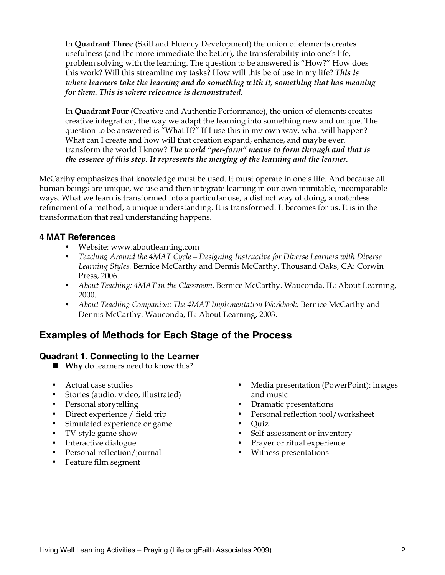In **Quadrant Three** (Skill and Fluency Development) the union of elements creates usefulness (and the more immediate the better), the transferability into one's life, problem solving with the learning. The question to be answered is "How?" How does this work? Will this streamline my tasks? How will this be of use in my life? *This is where learners take the learning and do something with it, something that has meaning for them. This is where relevance is demonstrated.* 

In **Quadrant Four** (Creative and Authentic Performance), the union of elements creates creative integration, the way we adapt the learning into something new and unique. The question to be answered is "What If?" If I use this in my own way, what will happen? What can I create and how will that creation expand, enhance, and maybe even transform the world I know? *The world "per-form" means to form through and that is the essence of this step. It represents the merging of the learning and the learner.*

McCarthy emphasizes that knowledge must be used. It must operate in one's life. And because all human beings are unique, we use and then integrate learning in our own inimitable, incomparable ways. What we learn is transformed into a particular use, a distinct way of doing, a matchless refinement of a method, a unique understanding. It is transformed. It becomes for us. It is in the transformation that real understanding happens.

### **4 MAT References**

- Website: www.aboutlearning.com
- *Teaching Around the 4MAT Cycle—Designing Instructive for Diverse Learners with Diverse Learning Styles.* Bernice McCarthy and Dennis McCarthy. Thousand Oaks, CA: Corwin Press, 2006.
- *About Teaching: 4MAT in the Classroom*. Bernice McCarthy. Wauconda, IL: About Learning, 2000.
- *About Teaching Companion: The 4MAT Implementation Workbook*. Bernice McCarthy and Dennis McCarthy. Wauconda, IL: About Learning, 2003.

## **Examples of Methods for Each Stage of the Process**

### **Quadrant 1. Connecting to the Learner**

- **Why** do learners need to know this?
- Actual case studies
- Stories (audio, video, illustrated)
- Personal storytelling
- Direct experience / field trip
- Simulated experience or game
- TV-style game show
- Interactive dialogue
- Personal reflection/journal
- Feature film segment
- Media presentation (PowerPoint): images and music
- Dramatic presentations
- Personal reflection tool/worksheet
- Quiz
- Self-assessment or inventory
- Prayer or ritual experience
- Witness presentations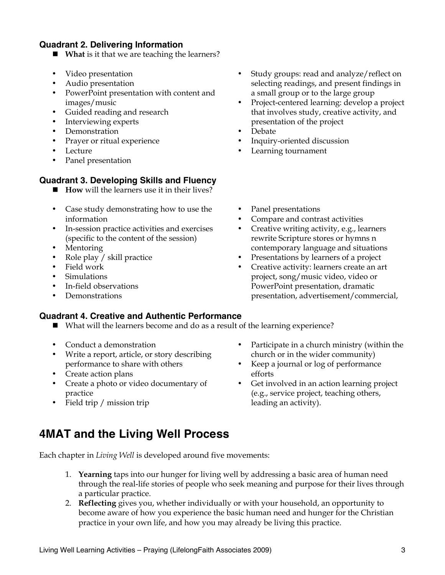### **Quadrant 2. Delivering Information**

- **What** is it that we are teaching the learners?
- Video presentation
- Audio presentation
- PowerPoint presentation with content and images/music
- Guided reading and research
- Interviewing experts
- Demonstration
- Prayer or ritual experience
- Lecture
- Panel presentation

#### **Quadrant 3. Developing Skills and Fluency**

- **How** will the learners use it in their lives?
- Case study demonstrating how to use the information
- In-session practice activities and exercises (specific to the content of the session)
- Mentoring
- Role play / skill practice
- Field work
- **Simulations**
- In-field observations
- Demonstrations

### **Quadrant 4. Creative and Authentic Performance**

- What will the learners become and do as a result of the learning experience?
- Conduct a demonstration
- Write a report, article, or story describing performance to share with others
- Create action plans
- Create a photo or video documentary of practice
- Field trip / mission trip

#### • Study groups: read and analyze/reflect on selecting readings, and present findings in a small group or to the large group

- Project-centered learning: develop a project that involves study, creative activity, and presentation of the project
- Debate
- Inquiry-oriented discussion
- Learning tournament
- Panel presentations
- Compare and contrast activities
- Creative writing activity, e.g., learners rewrite Scripture stores or hymns n contemporary language and situations
- Presentations by learners of a project
- Creative activity: learners create an art project, song/music video, video or PowerPoint presentation, dramatic presentation, advertisement/commercial,
- Participate in a church ministry (within the church or in the wider community)
- Keep a journal or log of performance efforts
- Get involved in an action learning project (e.g., service project, teaching others, leading an activity).

# **4MAT and the Living Well Process**

Each chapter in *Living Well* is developed around five movements:

- 1. **Yearning** taps into our hunger for living well by addressing a basic area of human need through the real-life stories of people who seek meaning and purpose for their lives through a particular practice.
- 2. **Reflecting** gives you, whether individually or with your household, an opportunity to become aware of how you experience the basic human need and hunger for the Christian practice in your own life, and how you may already be living this practice.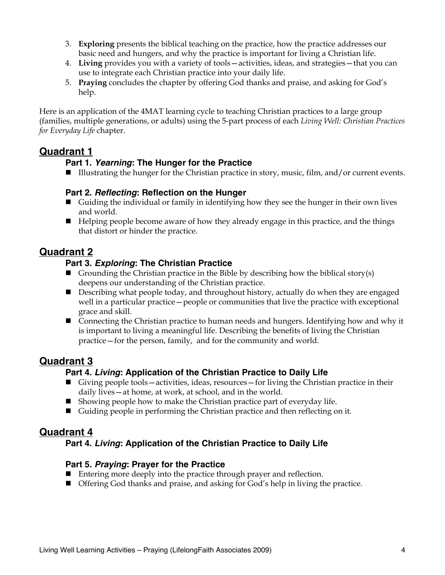- 3. **Exploring** presents the biblical teaching on the practice, how the practice addresses our basic need and hungers, and why the practice is important for living a Christian life.
- 4. **Living** provides you with a variety of tools—activities, ideas, and strategies—that you can use to integrate each Christian practice into your daily life.
- 5. **Praying** concludes the chapter by offering God thanks and praise, and asking for God's help.

Here is an application of the 4MAT learning cycle to teaching Christian practices to a large group (families, multiple generations, or adults) using the 5-part process of each *Living Well: Christian Practices for Everyday Life* chapter.

## **Quadrant 1**

## **Part 1.** *Yearning***: The Hunger for the Practice**

■ Illustrating the hunger for the Christian practice in story, music, film, and/or current events.

### **Part 2.** *Reflecting***: Reflection on the Hunger**

- Guiding the individual or family in identifying how they see the hunger in their own lives and world.
- Helping people become aware of how they already engage in this practice, and the things that distort or hinder the practice.

## **Quadrant 2**

## **Part 3.** *Exploring***: The Christian Practice**

- Grounding the Christian practice in the Bible by describing how the biblical story(s) deepens our understanding of the Christian practice.
- **Describing what people today, and throughout history, actually do when they are engaged** well in a particular practice—people or communities that live the practice with exceptional grace and skill.
- Connecting the Christian practice to human needs and hungers. Identifying how and why it is important to living a meaningful life. Describing the benefits of living the Christian practice—for the person, family, and for the community and world.

## **Quadrant 3**

## **Part 4.** *Living***: Application of the Christian Practice to Daily Life**

- Giving people tools—activities, ideas, resources—for living the Christian practice in their daily lives—at home, at work, at school, and in the world.
- $\blacksquare$  Showing people how to make the Christian practice part of everyday life.
- Guiding people in performing the Christian practice and then reflecting on it.

## **Quadrant 4**

## **Part 4.** *Living***: Application of the Christian Practice to Daily Life**

## **Part 5.** *Praying***: Prayer for the Practice**

- Entering more deeply into the practice through prayer and reflection.
- Offering God thanks and praise, and asking for God's help in living the practice.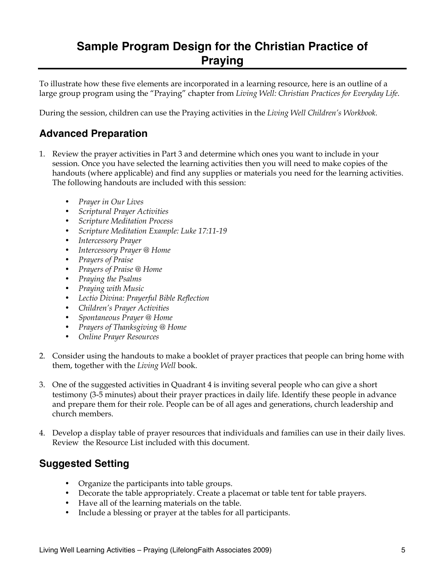# **Sample Program Design for the Christian Practice of Praying**

To illustrate how these five elements are incorporated in a learning resource, here is an outline of a large group program using the "Praying" chapter from *Living Well: Christian Practices for Everyday Life*.

During the session, children can use the Praying activities in the *Living Well Children's Workbook.* 

## **Advanced Preparation**

- 1. Review the prayer activities in Part 3 and determine which ones you want to include in your session. Once you have selected the learning activities then you will need to make copies of the handouts (where applicable) and find any supplies or materials you need for the learning activities. The following handouts are included with this session:
	- *Prayer in Our Lives*
	- *Scriptural Prayer Activities*
	- *Scripture Meditation Process*
	- *Scripture Meditation Example: Luke 17:11-19*
	- *Intercessory Prayer*
	- *Intercessory Prayer @ Home*
	- *Prayers of Praise*
	- *Prayers of Praise @ Home*
	- *Praying the Psalms*
	- *Praying with Music*
	- *Lectio Divina: Prayerful Bible Reflection*
	- *Children's Prayer Activities*
	- *Spontaneous Prayer @ Home*
	- *Prayers of Thanksgiving @ Home*
	- *Online Prayer Resources*
- 2. Consider using the handouts to make a booklet of prayer practices that people can bring home with them, together with the *Living Well* book.
- 3. One of the suggested activities in Quadrant 4 is inviting several people who can give a short testimony (3-5 minutes) about their prayer practices in daily life. Identify these people in advance and prepare them for their role. People can be of all ages and generations, church leadership and church members.
- 4. Develop a display table of prayer resources that individuals and families can use in their daily lives. Review the Resource List included with this document.

## **Suggested Setting**

- Organize the participants into table groups.
- Decorate the table appropriately. Create a placemat or table tent for table prayers.
- Have all of the learning materials on the table.
- Include a blessing or prayer at the tables for all participants.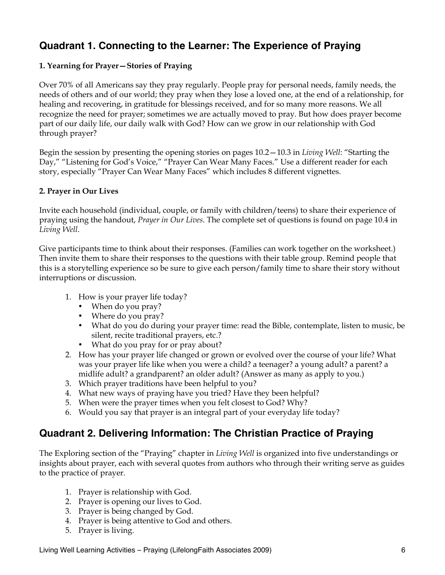## **Quadrant 1. Connecting to the Learner: The Experience of Praying**

### **1. Yearning for Prayer—Stories of Praying**

Over 70% of all Americans say they pray regularly. People pray for personal needs, family needs, the needs of others and of our world; they pray when they lose a loved one, at the end of a relationship, for healing and recovering, in gratitude for blessings received, and for so many more reasons. We all recognize the need for prayer; sometimes we are actually moved to pray. But how does prayer become part of our daily life, our daily walk with God? How can we grow in our relationship with God through prayer?

Begin the session by presenting the opening stories on pages 10.2—10.3 in *Living Well*: "Starting the Day," "Listening for God's Voice," "Prayer Can Wear Many Faces." Use a different reader for each story, especially "Prayer Can Wear Many Faces" which includes 8 different vignettes.

#### **2. Prayer in Our Lives**

Invite each household (individual, couple, or family with children/teens) to share their experience of praying using the handout, *Prayer in Our Lives*. The complete set of questions is found on page 10.4 in *Living Well*.

Give participants time to think about their responses. (Families can work together on the worksheet.) Then invite them to share their responses to the questions with their table group. Remind people that this is a storytelling experience so be sure to give each person/family time to share their story without interruptions or discussion.

- 1. How is your prayer life today?
	- When do you pray?
	- Where do you pray?
	- What do you do during your prayer time: read the Bible, contemplate, listen to music, be silent, recite traditional prayers, etc.?
	- What do you pray for or pray about?
- 2. How has your prayer life changed or grown or evolved over the course of your life? What was your prayer life like when you were a child? a teenager? a young adult? a parent? a midlife adult? a grandparent? an older adult? (Answer as many as apply to you.)
- 3. Which prayer traditions have been helpful to you?
- 4. What new ways of praying have you tried? Have they been helpful?
- 5. When were the prayer times when you felt closest to God? Why?
- 6. Would you say that prayer is an integral part of your everyday life today?

## **Quadrant 2. Delivering Information: The Christian Practice of Praying**

The Exploring section of the "Praying" chapter in *Living Well* is organized into five understandings or insights about prayer, each with several quotes from authors who through their writing serve as guides to the practice of prayer.

- 1. Prayer is relationship with God.
- 2. Prayer is opening our lives to God.
- 3. Prayer is being changed by God.
- 4. Prayer is being attentive to God and others.
- 5. Prayer is living.

Living Well Learning Activities – Praying (LifelongFaith Associates 2009) 6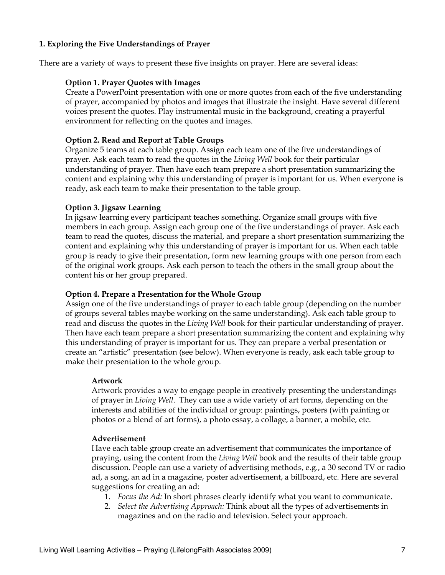#### **1. Exploring the Five Understandings of Prayer**

There are a variety of ways to present these five insights on prayer. Here are several ideas:

#### **Option 1. Prayer Quotes with Images**

Create a PowerPoint presentation with one or more quotes from each of the five understanding of prayer, accompanied by photos and images that illustrate the insight. Have several different voices present the quotes. Play instrumental music in the background, creating a prayerful environment for reflecting on the quotes and images.

#### **Option 2. Read and Report at Table Groups**

Organize 5 teams at each table group. Assign each team one of the five understandings of prayer. Ask each team to read the quotes in the *Living Well* book for their particular understanding of prayer. Then have each team prepare a short presentation summarizing the content and explaining why this understanding of prayer is important for us. When everyone is ready, ask each team to make their presentation to the table group.

#### **Option 3. Jigsaw Learning**

In jigsaw learning every participant teaches something. Organize small groups with five members in each group. Assign each group one of the five understandings of prayer. Ask each team to read the quotes, discuss the material, and prepare a short presentation summarizing the content and explaining why this understanding of prayer is important for us. When each table group is ready to give their presentation, form new learning groups with one person from each of the original work groups. Ask each person to teach the others in the small group about the content his or her group prepared.

#### **Option 4. Prepare a Presentation for the Whole Group**

Assign one of the five understandings of prayer to each table group (depending on the number of groups several tables maybe working on the same understanding). Ask each table group to read and discuss the quotes in the *Living Well* book for their particular understanding of prayer. Then have each team prepare a short presentation summarizing the content and explaining why this understanding of prayer is important for us. They can prepare a verbal presentation or create an "artistic" presentation (see below). When everyone is ready, ask each table group to make their presentation to the whole group.

#### **Artwork**

Artwork provides a way to engage people in creatively presenting the understandings of prayer in *Living Well*. They can use a wide variety of art forms, depending on the interests and abilities of the individual or group: paintings, posters (with painting or photos or a blend of art forms), a photo essay, a collage, a banner, a mobile, etc.

#### **Advertisement**

Have each table group create an advertisement that communicates the importance of praying, using the content from the *Living Well* book and the results of their table group discussion. People can use a variety of advertising methods, e.g., a 30 second TV or radio ad, a song, an ad in a magazine, poster advertisement, a billboard, etc. Here are several suggestions for creating an ad:

- 1. *Focus the Ad:* In short phrases clearly identify what you want to communicate.
- 2. *Select the Advertising Approach:* Think about all the types of advertisements in magazines and on the radio and television. Select your approach.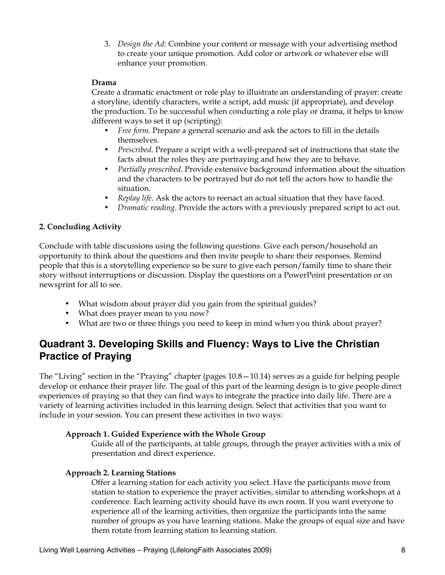3. *Design the Ad:* Combine your content or message with your advertising method to create your unique promotion. Add color or artwork or whatever else will enhance your promotion.

#### **Drama**

Create a dramatic enactment or role play to illustrate an understanding of prayer: create a storyline, identify characters, write a script, add music (if appropriate), and develop the production. To be successful when conducting a role play or drama, it helps to know different ways to set it up (scripting):

- *Free form*. Prepare a general scenario and ask the actors to fill in the details themselves.
- *Prescribed*. Prepare a script with a well-prepared set of instructions that state the facts about the roles they are portraying and how they are to behave.
- *Partially prescribed*. Provide extensive background information about the situation and the characters to be portrayed but do not tell the actors how to handle the situation.
- *Replay life*. Ask the actors to reenact an actual situation that they have faced.
- *Dramatic reading*. Provide the actors with a previously prepared script to act out.

### **2. Concluding Activity**

Conclude with table discussions using the following questions. Give each person/household an opportunity to think about the questions and then invite people to share their responses. Remind people that this is a storytelling experience so be sure to give each person/family time to share their story without interruptions or discussion. Display the questions on a PowerPoint presentation or on newsprint for all to see.

- What wisdom about prayer did you gain from the spiritual guides?
- What does prayer mean to you now?
- What are two or three things you need to keep in mind when you think about prayer?

## **Quadrant 3. Developing Skills and Fluency: Ways to Live the Christian Practice of Praying**

The "Living" section in the "Praying" chapter (pages 10.8—10.14) serves as a guide for helping people develop or enhance their prayer life. The goal of this part of the learning design is to give people direct experiences of praying so that they can find ways to integrate the practice into daily life. There are a variety of learning activities included in this learning design. Select that activities that you want to include in your session. You can present these activities in two ways:

#### **Approach 1. Guided Experience with the Whole Group**

Guide all of the participants, at table groups, through the prayer activities with a mix of presentation and direct experience.

### **Approach 2. Learning Stations**

Offer a learning station for each activity you select. Have the participants move from station to station to experience the prayer activities, similar to attending workshops at a conference. Each learning activity should have its own room. If you want everyone to experience all of the learning activities, then organize the participants into the same number of groups as you have learning stations. Make the groups of equal size and have them rotate from learning station to learning station.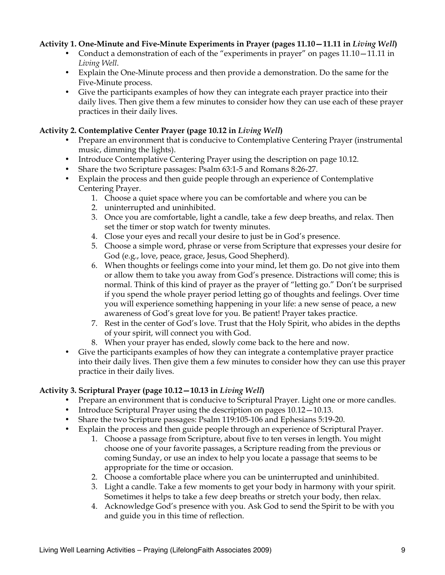#### **Activity 1. One-Minute and Five-Minute Experiments in Prayer (pages 11.10—11.11 in** *Living Well***)**

- Conduct a demonstration of each of the "experiments in prayer" on pages 11.10 11.11 in *Living Well*.
- Explain the One-Minute process and then provide a demonstration. Do the same for the Five-Minute process.
- Give the participants examples of how they can integrate each prayer practice into their daily lives. Then give them a few minutes to consider how they can use each of these prayer practices in their daily lives.

#### **Activity 2. Contemplative Center Prayer (page 10.12 in** *Living Well***)**

- Prepare an environment that is conducive to Contemplative Centering Prayer (instrumental music, dimming the lights).
- Introduce Contemplative Centering Prayer using the description on page 10.12.
- Share the two Scripture passages: Psalm 63:1-5 and Romans 8:26-27.
- Explain the process and then guide people through an experience of Contemplative Centering Prayer.
	- 1. Choose a quiet space where you can be comfortable and where you can be
	- 2. uninterrupted and uninhibited.
	- 3. Once you are comfortable, light a candle, take a few deep breaths, and relax. Then set the timer or stop watch for twenty minutes.
	- 4. Close your eyes and recall your desire to just be in God's presence.
	- 5. Choose a simple word, phrase or verse from Scripture that expresses your desire for God (e.g., love, peace, grace, Jesus, Good Shepherd).
	- 6. When thoughts or feelings come into your mind, let them go. Do not give into them or allow them to take you away from God's presence. Distractions will come; this is normal. Think of this kind of prayer as the prayer of "letting go." Don't be surprised if you spend the whole prayer period letting go of thoughts and feelings. Over time you will experience something happening in your life: a new sense of peace, a new awareness of God's great love for you. Be patient! Prayer takes practice.
	- 7. Rest in the center of God's love. Trust that the Holy Spirit, who abides in the depths of your spirit, will connect you with God.
	- 8. When your prayer has ended, slowly come back to the here and now.
- Give the participants examples of how they can integrate a contemplative prayer practice into their daily lives. Then give them a few minutes to consider how they can use this prayer practice in their daily lives.

#### **Activity 3. Scriptural Prayer (page 10.12—10.13 in** *Living Well***)**

- Prepare an environment that is conducive to Scriptural Prayer. Light one or more candles.
- Introduce Scriptural Prayer using the description on pages  $10.12-10.13$ .
- Share the two Scripture passages: Psalm 119:105-106 and Ephesians 5:19-20.
- Explain the process and then guide people through an experience of Scriptural Prayer.
	- 1. Choose a passage from Scripture, about five to ten verses in length. You might choose one of your favorite passages, a Scripture reading from the previous or coming Sunday, or use an index to help you locate a passage that seems to be appropriate for the time or occasion.
	- 2. Choose a comfortable place where you can be uninterrupted and uninhibited.
	- 3. Light a candle. Take a few moments to get your body in harmony with your spirit. Sometimes it helps to take a few deep breaths or stretch your body, then relax.
	- 4. Acknowledge God's presence with you. Ask God to send the Spirit to be with you and guide you in this time of reflection.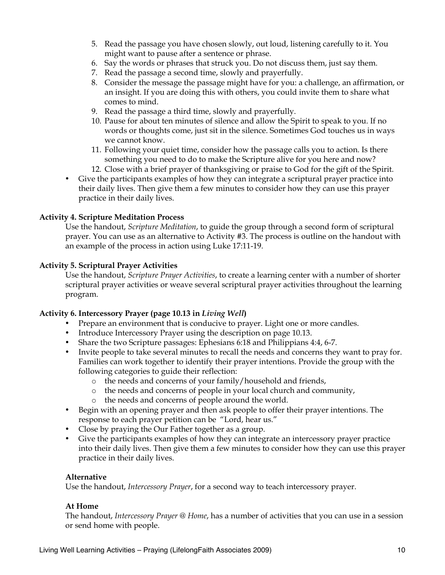- 5. Read the passage you have chosen slowly, out loud, listening carefully to it. You might want to pause after a sentence or phrase.
- 6. Say the words or phrases that struck you. Do not discuss them, just say them.
- 7. Read the passage a second time, slowly and prayerfully.
- 8. Consider the message the passage might have for you: a challenge, an affirmation, or an insight. If you are doing this with others, you could invite them to share what comes to mind.
- 9. Read the passage a third time, slowly and prayerfully.
- 10. Pause for about ten minutes of silence and allow the Spirit to speak to you. If no words or thoughts come, just sit in the silence. Sometimes God touches us in ways we cannot know.
- 11. Following your quiet time, consider how the passage calls you to action. Is there something you need to do to make the Scripture alive for you here and now?
- 12. Close with a brief prayer of thanksgiving or praise to God for the gift of the Spirit.
- Give the participants examples of how they can integrate a scriptural prayer practice into their daily lives. Then give them a few minutes to consider how they can use this prayer practice in their daily lives.

#### **Activity 4. Scripture Meditation Process**

Use the handout, *Scripture Meditation*, to guide the group through a second form of scriptural prayer. You can use as an alternative to Activity #3. The process is outline on the handout with an example of the process in action using Luke 17:11-19.

#### **Activity 5. Scriptural Prayer Activities**

Use the handout, *Scripture Prayer Activities*, to create a learning center with a number of shorter scriptural prayer activities or weave several scriptural prayer activities throughout the learning program.

### **Activity 6. Intercessory Prayer (page 10.13 in** *Living Well***)**

- Prepare an environment that is conducive to prayer. Light one or more candles.
- Introduce Intercessory Prayer using the description on page 10.13.
- Share the two Scripture passages: Ephesians 6:18 and Philippians 4:4, 6-7.
- Invite people to take several minutes to recall the needs and concerns they want to pray for. Families can work together to identify their prayer intentions. Provide the group with the following categories to guide their reflection:
	- o the needs and concerns of your family/household and friends,
	- o the needs and concerns of people in your local church and community,
	- o the needs and concerns of people around the world.
- Begin with an opening prayer and then ask people to offer their prayer intentions. The response to each prayer petition can be "Lord, hear us."
- Close by praying the Our Father together as a group.
- Give the participants examples of how they can integrate an intercessory prayer practice into their daily lives. Then give them a few minutes to consider how they can use this prayer practice in their daily lives.

#### **Alternative**

Use the handout, *Intercessory Prayer*, for a second way to teach intercessory prayer.

#### **At Home**

The handout, *Intercessory Prayer @ Home*, has a number of activities that you can use in a session or send home with people.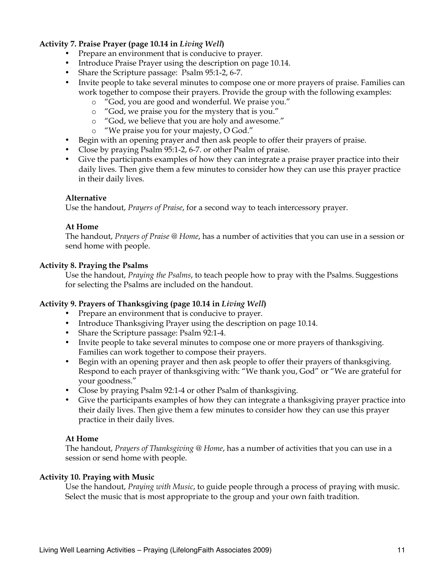#### **Activity 7. Praise Prayer (page 10.14 in** *Living Well***)**

- Prepare an environment that is conducive to prayer.
- Introduce Praise Prayer using the description on page 10.14.
- Share the Scripture passage: Psalm 95:1-2, 6-7.
- Invite people to take several minutes to compose one or more prayers of praise. Families can work together to compose their prayers. Provide the group with the following examples:
	- o "God, you are good and wonderful. We praise you."
	- o "God, we praise you for the mystery that is you."
	- o "God, we believe that you are holy and awesome."
	- o "We praise you for your majesty, O God."
- Begin with an opening prayer and then ask people to offer their prayers of praise.
- Close by praying Psalm 95:1-2, 6-7. or other Psalm of praise.
- Give the participants examples of how they can integrate a praise prayer practice into their daily lives. Then give them a few minutes to consider how they can use this prayer practice in their daily lives.

#### **Alternative**

Use the handout, *Prayers of Praise*, for a second way to teach intercessory prayer.

#### **At Home**

The handout, *Prayers of Praise @ Home*, has a number of activities that you can use in a session or send home with people.

#### **Activity 8. Praying the Psalms**

Use the handout, *Praying the Psalms*, to teach people how to pray with the Psalms. Suggestions for selecting the Psalms are included on the handout.

#### **Activity 9. Prayers of Thanksgiving (page 10.14 in** *Living Well***)**

- Prepare an environment that is conducive to prayer.
- Introduce Thanksgiving Prayer using the description on page 10.14.
- Share the Scripture passage: Psalm 92:1-4.
- Invite people to take several minutes to compose one or more prayers of thanksgiving. Families can work together to compose their prayers.
- Begin with an opening prayer and then ask people to offer their prayers of thanksgiving. Respond to each prayer of thanksgiving with: "We thank you, God" or "We are grateful for your goodness."
- Close by praying Psalm 92:1-4 or other Psalm of thanksgiving.
- Give the participants examples of how they can integrate a thanksgiving prayer practice into their daily lives. Then give them a few minutes to consider how they can use this prayer practice in their daily lives.

#### **At Home**

The handout, *Prayers of Thanksgiving @ Home*, has a number of activities that you can use in a session or send home with people.

#### **Activity 10. Praying with Music**

Use the handout, *Praying with Music*, to guide people through a process of praying with music. Select the music that is most appropriate to the group and your own faith tradition.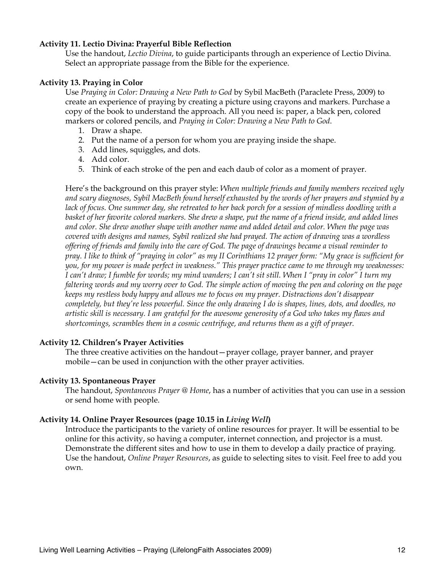#### **Activity 11. Lectio Divina: Prayerful Bible Reflection**

Use the handout, *Lectio Divina*, to guide participants through an experience of Lectio Divina. Select an appropriate passage from the Bible for the experience.

#### **Activity 13. Praying in Color**

Use *Praying in Color: Drawing a New Path to God* by Sybil MacBeth (Paraclete Press, 2009) to create an experience of praying by creating a picture using crayons and markers. Purchase a copy of the book to understand the approach. All you need is: paper, a black pen, colored markers or colored pencils, and *Praying in Color: Drawing a New Path to God*.

- 1. Draw a shape.
- 2. Put the name of a person for whom you are praying inside the shape.
- 3. Add lines, squiggles, and dots.
- 4. Add color.
- 5. Think of each stroke of the pen and each daub of color as a moment of prayer.

Here's the background on this prayer style: *When multiple friends and family members received ugly and scary diagnoses, Sybil MacBeth found herself exhausted by the words of her prayers and stymied by a*  lack of focus. One summer day, she retreated to her back porch for a session of mindless doodling with a *basket of her favorite colored markers. She drew a shape, put the name of a friend inside, and added lines and color. She drew another shape with another name and added detail and color. When the page was covered with designs and names, Sybil realized she had prayed. The action of drawing was a wordless offering of friends and family into the care of God. The page of drawings became a visual reminder to pray. I like to think of "praying in color" as my II Corinthians 12 prayer form: "My grace is sufficient for you, for my power is made perfect in weakness." This prayer practice came to me through my weaknesses: I can't draw; I fumble for words; my mind wanders; I can't sit still. When I "pray in color" I turn my faltering words and my worry over to God. The simple action of moving the pen and coloring on the page keeps my restless body happy and allows me to focus on my prayer. Distractions don't disappear completely, but they're less powerful. Since the only drawing I do is shapes, lines, dots, and doodles, no artistic skill is necessary. I am grateful for the awesome generosity of a God who takes my flaws and shortcomings, scrambles them in a cosmic centrifuge, and returns them as a gift of prayer.*

#### **Activity 12. Children's Prayer Activities**

The three creative activities on the handout—prayer collage, prayer banner, and prayer mobile—can be used in conjunction with the other prayer activities.

#### **Activity 13. Spontaneous Prayer**

The handout, *Spontaneous Prayer @ Home*, has a number of activities that you can use in a session or send home with people.

#### **Activity 14. Online Prayer Resources (page 10.15 in** *Living Well***)**

Introduce the participants to the variety of online resources for prayer. It will be essential to be online for this activity, so having a computer, internet connection, and projector is a must. Demonstrate the different sites and how to use in them to develop a daily practice of praying. Use the handout, *Online Prayer Resources*, as guide to selecting sites to visit. Feel free to add you own.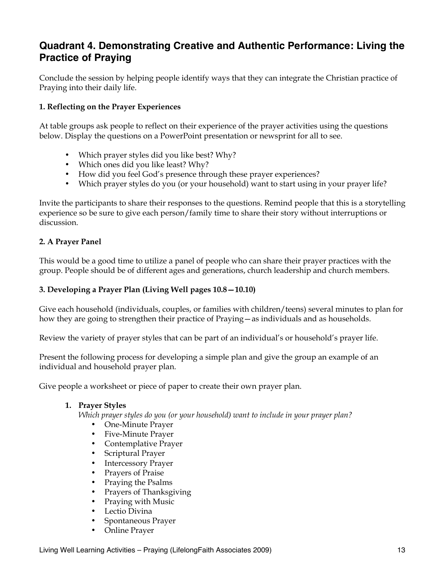## **Quadrant 4. Demonstrating Creative and Authentic Performance: Living the Practice of Praying**

Conclude the session by helping people identify ways that they can integrate the Christian practice of Praying into their daily life.

#### **1. Reflecting on the Prayer Experiences**

At table groups ask people to reflect on their experience of the prayer activities using the questions below. Display the questions on a PowerPoint presentation or newsprint for all to see.

- Which prayer styles did you like best? Why?
- Which ones did you like least? Why?
- How did you feel God's presence through these prayer experiences?
- Which prayer styles do you (or your household) want to start using in your prayer life?

Invite the participants to share their responses to the questions. Remind people that this is a storytelling experience so be sure to give each person/family time to share their story without interruptions or discussion.

#### **2. A Prayer Panel**

This would be a good time to utilize a panel of people who can share their prayer practices with the group. People should be of different ages and generations, church leadership and church members.

#### **3. Developing a Prayer Plan (Living Well pages 10.8—10.10)**

Give each household (individuals, couples, or families with children/teens) several minutes to plan for how they are going to strengthen their practice of Praying—as individuals and as households.

Review the variety of prayer styles that can be part of an individual's or household's prayer life.

Present the following process for developing a simple plan and give the group an example of an individual and household prayer plan.

Give people a worksheet or piece of paper to create their own prayer plan.

#### **1. Prayer Styles**

*Which prayer styles do you (or your household) want to include in your prayer plan?*

- One-Minute Prayer
- Five-Minute Prayer
- Contemplative Prayer
- Scriptural Prayer
- Intercessory Prayer
- Prayers of Praise
- Praying the Psalms
- Prayers of Thanksgiving
- Praying with Music
- Lectio Divina
- Spontaneous Prayer
- Online Prayer

Living Well Learning Activities – Praying (LifelongFaith Associates 2009) 13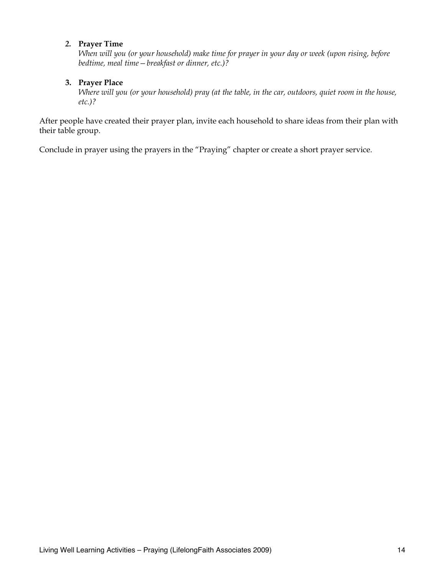#### *2.* **Prayer Time**

*When will you (or your household) make time for prayer in your day or week (upon rising, before bedtime, meal time—breakfast or dinner, etc.)?* 

#### **3. Prayer Place**

*Where will you (or your household) pray (at the table, in the car, outdoors, quiet room in the house, etc.)?*

After people have created their prayer plan, invite each household to share ideas from their plan with their table group.

Conclude in prayer using the prayers in the "Praying" chapter or create a short prayer service.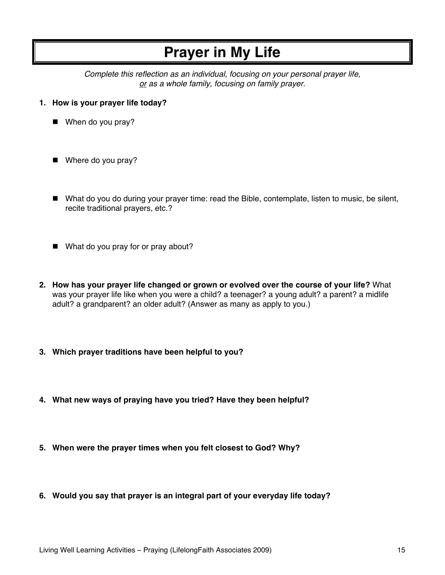# **Prayer in My Life**

*Complete this reflection as an individual, focusing on your personal prayer life, or as a whole family, focusing on family prayer.*

- **1. How is your prayer life today?** 
	- When do you pray?
	- Where do you pray?
	- What do you do during your prayer time: read the Bible, contemplate, listen to music, be silent, recite traditional prayers, etc.?
	- What do you pray for or pray about?
- **2. How has your prayer life changed or grown or evolved over the course of your life?** What was your prayer life like when you were a child? a teenager? a young adult? a parent? a midlife adult? a grandparent? an older adult? (Answer as many as apply to you.)
- **3. Which prayer traditions have been helpful to you?**
- **4. What new ways of praying have you tried? Have they been helpful?**
- **5. When were the prayer times when you felt closest to God? Why?**
- **6. Would you say that prayer is an integral part of your everyday life today?**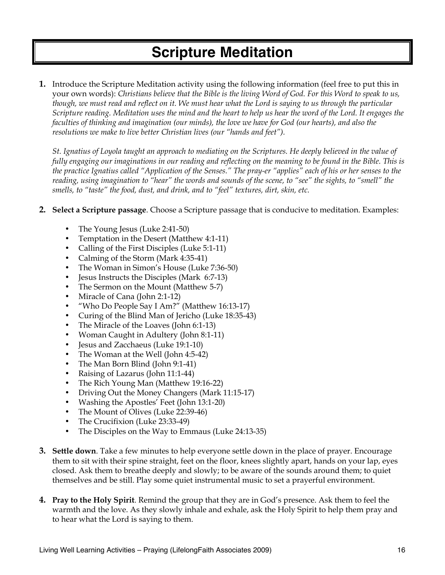# **Scripture Meditation**

**1.** Introduce the Scripture Meditation activity using the following information (feel free to put this in your own words): *Christians believe that the Bible is the living Word of God. For this Word to speak to us, though, we must read and reflect on it. We must hear what the Lord is saying to us through the particular Scripture reading. Meditation uses the mind and the heart to help us hear the word of the Lord. It engages the faculties of thinking and imagination (our minds), the love we have for God (our hearts), and also the resolutions we make to live better Christian lives (our "hands and feet").*

*St. Ignatius of Loyola taught an approach to mediating on the Scriptures. He deeply believed in the value of*  fully engaging our imaginations in our reading and reflecting on the meaning to be found in the Bible. This is *the practice Ignatius called "Application of the Senses." The pray-er "applies" each of his or her senses to the reading, using imagination to "hear" the words and sounds of the scene, to "see" the sights, to "smell" the smells, to "taste" the food, dust, and drink, and to "feel" textures, dirt, skin, etc.*

#### **2. Select a Scripture passage**. Choose a Scripture passage that is conducive to meditation. Examples:

- The Young Jesus (Luke 2:41-50)
- Temptation in the Desert (Matthew 4:1-11)
- Calling of the First Disciples (Luke 5:1-11)
- Calming of the Storm (Mark 4:35-41)
- The Woman in Simon's House (Luke 7:36-50)
- Jesus Instructs the Disciples (Mark 6:7-13)
- The Sermon on the Mount (Matthew 5-7)
- Miracle of Cana (John 2:1-12)
- "Who Do People Say I Am?" (Matthew 16:13-17)
- Curing of the Blind Man of Jericho (Luke 18:35-43)
- The Miracle of the Loaves (John 6:1-13)
- Woman Caught in Adultery (John 8:1-11)
- Jesus and Zacchaeus (Luke 19:1-10)
- The Woman at the Well (John 4:5-42)
- The Man Born Blind (John 9:1-41)
- Raising of Lazarus (John 11:1-44)
- The Rich Young Man (Matthew 19:16-22)
- Driving Out the Money Changers (Mark 11:15-17)
- Washing the Apostles' Feet (John 13:1-20)
- The Mount of Olives (Luke 22:39-46)
- The Crucifixion (Luke 23:33-49)
- The Disciples on the Way to Emmaus (Luke 24:13-35)
- **3. Settle down**. Take a few minutes to help everyone settle down in the place of prayer. Encourage them to sit with their spine straight, feet on the floor, knees slightly apart, hands on your lap, eyes closed. Ask them to breathe deeply and slowly; to be aware of the sounds around them; to quiet themselves and be still. Play some quiet instrumental music to set a prayerful environment.
- **4. Pray to the Holy Spirit**. Remind the group that they are in God's presence. Ask them to feel the warmth and the love. As they slowly inhale and exhale, ask the Holy Spirit to help them pray and to hear what the Lord is saying to them.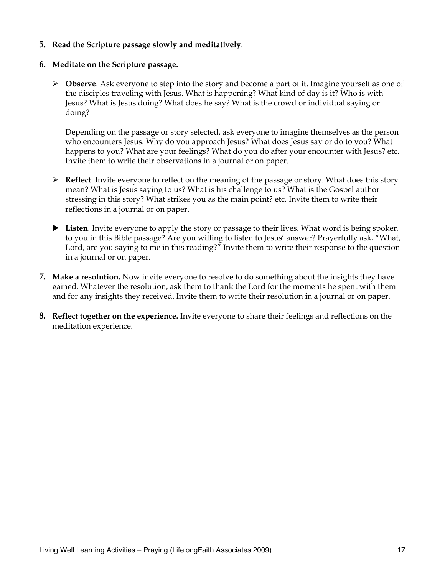#### **5. Read the Scripture passage slowly and meditatively**.

#### **6. Meditate on the Scripture passage.**

 **Observe**. Ask everyone to step into the story and become a part of it. Imagine yourself as one of the disciples traveling with Jesus. What is happening? What kind of day is it? Who is with Jesus? What is Jesus doing? What does he say? What is the crowd or individual saying or doing?

Depending on the passage or story selected, ask everyone to imagine themselves as the person who encounters Jesus. Why do you approach Jesus? What does Jesus say or do to you? What happens to you? What are your feelings? What do you do after your encounter with Jesus? etc. Invite them to write their observations in a journal or on paper.

- **Reflect**. Invite everyone to reflect on the meaning of the passage or story. What does this story mean? What is Jesus saying to us? What is his challenge to us? What is the Gospel author stressing in this story? What strikes you as the main point? etc. Invite them to write their reflections in a journal or on paper.
- **Listen**. Invite everyone to apply the story or passage to their lives. What word is being spoken to you in this Bible passage? Are you willing to listen to Jesus' answer? Prayerfully ask, "What, Lord, are you saying to me in this reading?" Invite them to write their response to the question in a journal or on paper.
- **7. Make a resolution.** Now invite everyone to resolve to do something about the insights they have gained. Whatever the resolution, ask them to thank the Lord for the moments he spent with them and for any insights they received. Invite them to write their resolution in a journal or on paper.
- **8. Reflect together on the experience.** Invite everyone to share their feelings and reflections on the meditation experience.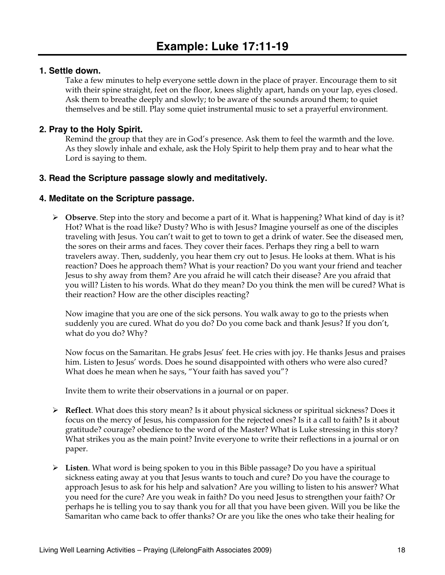#### **1. Settle down.**

Take a few minutes to help everyone settle down in the place of prayer. Encourage them to sit with their spine straight, feet on the floor, knees slightly apart, hands on your lap, eyes closed. Ask them to breathe deeply and slowly; to be aware of the sounds around them; to quiet themselves and be still. Play some quiet instrumental music to set a prayerful environment.

#### **2. Pray to the Holy Spirit.**

Remind the group that they are in God's presence. Ask them to feel the warmth and the love. As they slowly inhale and exhale, ask the Holy Spirit to help them pray and to hear what the Lord is saying to them.

### **3. Read the Scripture passage slowly and meditatively.**

#### **4. Meditate on the Scripture passage.**

 **Observe**. Step into the story and become a part of it. What is happening? What kind of day is it? Hot? What is the road like? Dusty? Who is with Jesus? Imagine yourself as one of the disciples traveling with Jesus. You can't wait to get to town to get a drink of water. See the diseased men, the sores on their arms and faces. They cover their faces. Perhaps they ring a bell to warn travelers away. Then, suddenly, you hear them cry out to Jesus. He looks at them. What is his reaction? Does he approach them? What is your reaction? Do you want your friend and teacher Jesus to shy away from them? Are you afraid he will catch their disease? Are you afraid that you will? Listen to his words. What do they mean? Do you think the men will be cured? What is their reaction? How are the other disciples reacting?

Now imagine that you are one of the sick persons. You walk away to go to the priests when suddenly you are cured. What do you do? Do you come back and thank Jesus? If you don't, what do you do? Why?

Now focus on the Samaritan. He grabs Jesus' feet. He cries with joy. He thanks Jesus and praises him. Listen to Jesus' words. Does he sound disappointed with others who were also cured? What does he mean when he says, "Your faith has saved you"?

Invite them to write their observations in a journal or on paper.

- **Reflect**. What does this story mean? Is it about physical sickness or spiritual sickness? Does it focus on the mercy of Jesus, his compassion for the rejected ones? Is it a call to faith? Is it about gratitude? courage? obedience to the word of the Master? What is Luke stressing in this story? What strikes you as the main point? Invite everyone to write their reflections in a journal or on paper.
- **Listen**. What word is being spoken to you in this Bible passage? Do you have a spiritual sickness eating away at you that Jesus wants to touch and cure? Do you have the courage to approach Jesus to ask for his help and salvation? Are you willing to listen to his answer? What you need for the cure? Are you weak in faith? Do you need Jesus to strengthen your faith? Or perhaps he is telling you to say thank you for all that you have been given. Will you be like the Samaritan who came back to offer thanks? Or are you like the ones who take their healing for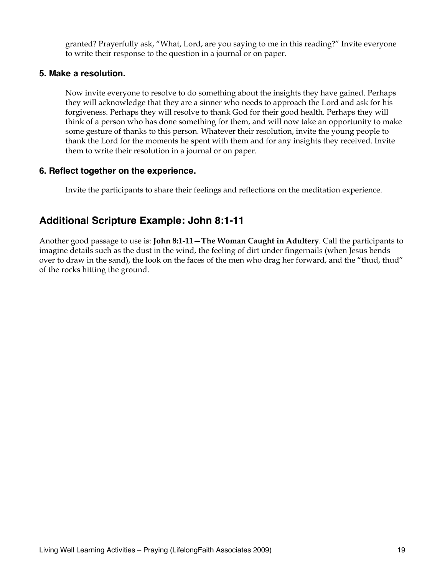granted? Prayerfully ask, "What, Lord, are you saying to me in this reading?" Invite everyone to write their response to the question in a journal or on paper.

#### **5. Make a resolution.**

Now invite everyone to resolve to do something about the insights they have gained. Perhaps they will acknowledge that they are a sinner who needs to approach the Lord and ask for his forgiveness. Perhaps they will resolve to thank God for their good health. Perhaps they will think of a person who has done something for them, and will now take an opportunity to make some gesture of thanks to this person. Whatever their resolution, invite the young people to thank the Lord for the moments he spent with them and for any insights they received. Invite them to write their resolution in a journal or on paper.

#### **6. Reflect together on the experience.**

Invite the participants to share their feelings and reflections on the meditation experience.

## **Additional Scripture Example: John 8:1-11**

Another good passage to use is: **John 8:1-11—The Woman Caught in Adultery**. Call the participants to imagine details such as the dust in the wind, the feeling of dirt under fingernails (when Jesus bends over to draw in the sand), the look on the faces of the men who drag her forward, and the "thud, thud" of the rocks hitting the ground.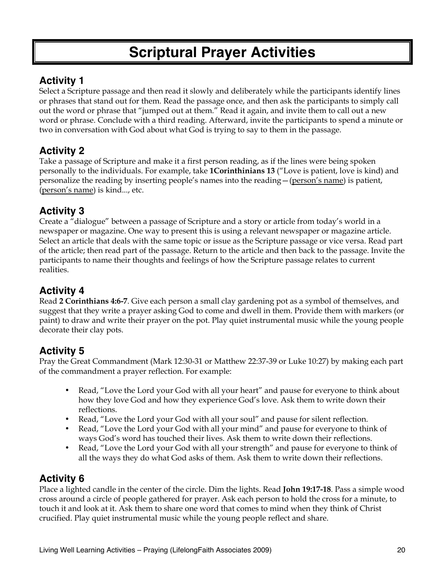# **Scriptural Prayer Activities**

## **Activity 1**

Select a Scripture passage and then read it slowly and deliberately while the participants identify lines or phrases that stand out for them. Read the passage once, and then ask the participants to simply call out the word or phrase that "jumped out at them." Read it again, and invite them to call out a new word or phrase. Conclude with a third reading. Afterward, invite the participants to spend a minute or two in conversation with God about what God is trying to say to them in the passage.

## **Activity 2**

Take a passage of Scripture and make it a first person reading, as if the lines were being spoken personally to the individuals. For example, take **1Corinthinians 13** ("Love is patient, love is kind) and personalize the reading by inserting people's names into the reading—(person's name) is patient, (person's name) is kind..., etc.

## **Activity 3**

Create a "dialogue" between a passage of Scripture and a story or article from today's world in a newspaper or magazine. One way to present this is using a relevant newspaper or magazine article. Select an article that deals with the same topic or issue as the Scripture passage or vice versa. Read part of the article; then read part of the passage. Return to the article and then back to the passage. Invite the participants to name their thoughts and feelings of how the Scripture passage relates to current realities.

## **Activity 4**

Read **2 Corinthians 4:6-7**. Give each person a small clay gardening pot as a symbol of themselves, and suggest that they write a prayer asking God to come and dwell in them. Provide them with markers (or paint) to draw and write their prayer on the pot. Play quiet instrumental music while the young people decorate their clay pots.

## **Activity 5**

Pray the Great Commandment (Mark 12:30-31 or Matthew 22:37-39 or Luke 10:27) by making each part of the commandment a prayer reflection. For example:

- Read, "Love the Lord your God with all your heart" and pause for everyone to think about how they love God and how they experience God's love. Ask them to write down their reflections.
- Read, "Love the Lord your God with all your soul" and pause for silent reflection.
- Read, "Love the Lord your God with all your mind" and pause for everyone to think of ways God's word has touched their lives. Ask them to write down their reflections.
- Read, "Love the Lord your God with all your strength" and pause for everyone to think of all the ways they do what God asks of them. Ask them to write down their reflections.

## **Activity 6**

Place a lighted candle in the center of the circle. Dim the lights. Read **John 19:17-18**. Pass a simple wood cross around a circle of people gathered for prayer. Ask each person to hold the cross for a minute, to touch it and look at it. Ask them to share one word that comes to mind when they think of Christ crucified. Play quiet instrumental music while the young people reflect and share.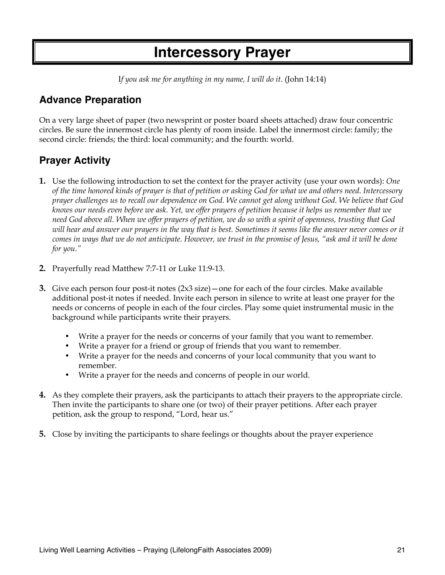# **Intercessory Prayer**

I*f you ask me for anything in my name, I will do it*. (John 14:14)

## **Advance Preparation**

On a very large sheet of paper (two newsprint or poster board sheets attached) draw four concentric circles. Be sure the innermost circle has plenty of room inside. Label the innermost circle: family; the second circle: friends; the third: local community; and the fourth: world.

## **Prayer Activity**

- **1.** Use the following introduction to set the context for the prayer activity (use your own words): *One of the time honored kinds of prayer is that of petition or asking God for what we and others need. Intercessory prayer challenges us to recall our dependence on God. We cannot get along without God. We believe that God knows our needs even before we ask. Yet, we offer prayers of petition because it helps us remember that we need God above all. When we offer prayers of petition, we do so with a spirit of openness, trusting that God will hear and answer our prayers in the way that is best. Sometimes it seems like the answer never comes or it comes in ways that we do not anticipate. However, we trust in the promise of Jesus, "ask and it will be done for you."*
- **2.** Prayerfully read Matthew 7:7-11 or Luke 11:9-13.
- **3.** Give each person four post-it notes (2x3 size)—one for each of the four circles. Make available additional post-it notes if needed. Invite each person in silence to write at least one prayer for the needs or concerns of people in each of the four circles. Play some quiet instrumental music in the background while participants write their prayers.
	- Write a prayer for the needs or concerns of your family that you want to remember.
	- Write a prayer for a friend or group of friends that you want to remember.
	- Write a prayer for the needs and concerns of your local community that you want to remember.
	- Write a prayer for the needs and concerns of people in our world.
- **4.** As they complete their prayers, ask the participants to attach their prayers to the appropriate circle. Then invite the participants to share one (or two) of their prayer petitions. After each prayer petition, ask the group to respond, "Lord, hear us."
- **5.** Close by inviting the participants to share feelings or thoughts about the prayer experience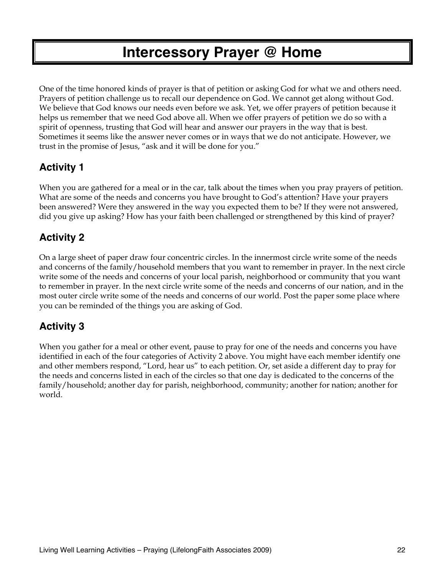# **Intercessory Prayer @ Home**

One of the time honored kinds of prayer is that of petition or asking God for what we and others need. Prayers of petition challenge us to recall our dependence on God. We cannot get along without God. We believe that God knows our needs even before we ask. Yet, we offer prayers of petition because it helps us remember that we need God above all. When we offer prayers of petition we do so with a spirit of openness, trusting that God will hear and answer our prayers in the way that is best. Sometimes it seems like the answer never comes or in ways that we do not anticipate. However, we trust in the promise of Jesus, "ask and it will be done for you."

## **Activity 1**

When you are gathered for a meal or in the car, talk about the times when you pray prayers of petition. What are some of the needs and concerns you have brought to God's attention? Have your prayers been answered? Were they answered in the way you expected them to be? If they were not answered, did you give up asking? How has your faith been challenged or strengthened by this kind of prayer?

## **Activity 2**

On a large sheet of paper draw four concentric circles. In the innermost circle write some of the needs and concerns of the family/household members that you want to remember in prayer. In the next circle write some of the needs and concerns of your local parish, neighborhood or community that you want to remember in prayer. In the next circle write some of the needs and concerns of our nation, and in the most outer circle write some of the needs and concerns of our world. Post the paper some place where you can be reminded of the things you are asking of God.

## **Activity 3**

When you gather for a meal or other event, pause to pray for one of the needs and concerns you have identified in each of the four categories of Activity 2 above. You might have each member identify one and other members respond, "Lord, hear us" to each petition. Or, set aside a different day to pray for the needs and concerns listed in each of the circles so that one day is dedicated to the concerns of the family/household; another day for parish, neighborhood, community; another for nation; another for world.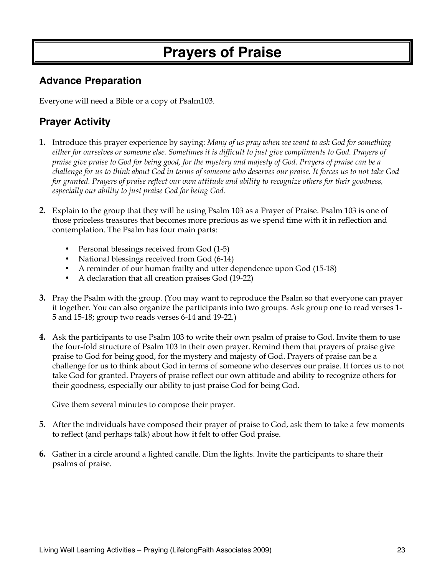# **Prayers of Praise**

## **Advance Preparation**

Everyone will need a Bible or a copy of Psalm103.

## **Prayer Activity**

- **1.** Introduce this prayer experience by saying: *Many of us pray when we want to ask God for something either for ourselves or someone else. Sometimes it is difficult to just give compliments to God. Prayers of praise give praise to God for being good, for the mystery and majesty of God. Prayers of praise can be a challenge for us to think about God in terms of someone who deserves our praise. It forces us to not take God for granted. Prayers of praise reflect our own attitude and ability to recognize others for their goodness, especially our ability to just praise God for being God.*
- **2.** Explain to the group that they will be using Psalm 103 as a Prayer of Praise. Psalm 103 is one of those priceless treasures that becomes more precious as we spend time with it in reflection and contemplation. The Psalm has four main parts:
	- Personal blessings received from God  $(1-5)$
	- National blessings received from God (6-14)
	- A reminder of our human frailty and utter dependence upon God (15-18)
	- A declaration that all creation praises God (19-22)
- **3.** Pray the Psalm with the group. (You may want to reproduce the Psalm so that everyone can prayer it together. You can also organize the participants into two groups. Ask group one to read verses 1- 5 and 15-18; group two reads verses 6-14 and 19-22.)
- **4.** Ask the participants to use Psalm 103 to write their own psalm of praise to God. Invite them to use the four-fold structure of Psalm 103 in their own prayer. Remind them that prayers of praise give praise to God for being good, for the mystery and majesty of God. Prayers of praise can be a challenge for us to think about God in terms of someone who deserves our praise. It forces us to not take God for granted. Prayers of praise reflect our own attitude and ability to recognize others for their goodness, especially our ability to just praise God for being God.

Give them several minutes to compose their prayer.

- **5.** After the individuals have composed their prayer of praise to God, ask them to take a few moments to reflect (and perhaps talk) about how it felt to offer God praise.
- **6.** Gather in a circle around a lighted candle. Dim the lights. Invite the participants to share their psalms of praise.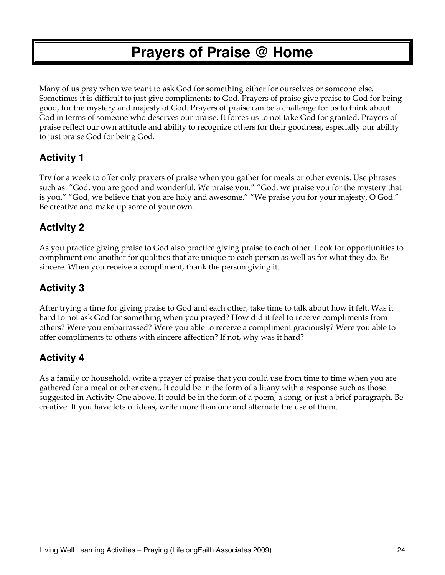# **Prayers of Praise @ Home**

Many of us pray when we want to ask God for something either for ourselves or someone else. Sometimes it is difficult to just give compliments to God. Prayers of praise give praise to God for being good, for the mystery and majesty of God. Prayers of praise can be a challenge for us to think about God in terms of someone who deserves our praise. It forces us to not take God for granted. Prayers of praise reflect our own attitude and ability to recognize others for their goodness, especially our ability to just praise God for being God.

## **Activity 1**

Try for a week to offer only prayers of praise when you gather for meals or other events. Use phrases such as: "God, you are good and wonderful. We praise you." "God, we praise you for the mystery that is you." "God, we believe that you are holy and awesome." "We praise you for your majesty, O God." Be creative and make up some of your own.

## **Activity 2**

As you practice giving praise to God also practice giving praise to each other. Look for opportunities to compliment one another for qualities that are unique to each person as well as for what they do. Be sincere. When you receive a compliment, thank the person giving it.

## **Activity 3**

After trying a time for giving praise to God and each other, take time to talk about how it felt. Was it hard to not ask God for something when you prayed? How did it feel to receive compliments from others? Were you embarrassed? Were you able to receive a compliment graciously? Were you able to offer compliments to others with sincere affection? If not, why was it hard?

## **Activity 4**

As a family or household, write a prayer of praise that you could use from time to time when you are gathered for a meal or other event. It could be in the form of a litany with a response such as those suggested in Activity One above. It could be in the form of a poem, a song, or just a brief paragraph. Be creative. If you have lots of ideas, write more than one and alternate the use of them.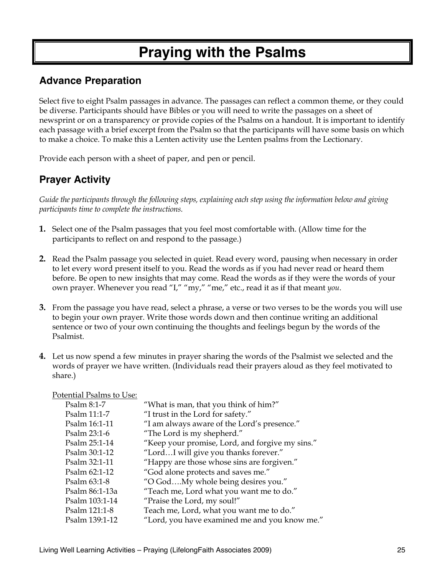# **Praying with the Psalms**

## **Advance Preparation**

Select five to eight Psalm passages in advance. The passages can reflect a common theme, or they could be diverse. Participants should have Bibles or you will need to write the passages on a sheet of newsprint or on a transparency or provide copies of the Psalms on a handout. It is important to identify each passage with a brief excerpt from the Psalm so that the participants will have some basis on which to make a choice. To make this a Lenten activity use the Lenten psalms from the Lectionary.

Provide each person with a sheet of paper, and pen or pencil.

## **Prayer Activity**

*Guide the participants through the following steps, explaining each step using the information below and giving participants time to complete the instructions.* 

- **1.** Select one of the Psalm passages that you feel most comfortable with. (Allow time for the participants to reflect on and respond to the passage.)
- **2.** Read the Psalm passage you selected in quiet. Read every word, pausing when necessary in order to let every word present itself to you. Read the words as if you had never read or heard them before. Be open to new insights that may come. Read the words as if they were the words of your own prayer. Whenever you read "I," "my," "me," etc., read it as if that meant *you*.
- **3.** From the passage you have read, select a phrase, a verse or two verses to be the words you will use to begin your own prayer. Write those words down and then continue writing an additional sentence or two of your own continuing the thoughts and feelings begun by the words of the Psalmist.
- **4.** Let us now spend a few minutes in prayer sharing the words of the Psalmist we selected and the words of prayer we have written. (Individuals read their prayers aloud as they feel motivated to share.)

| Alentiai i sailiis tu Use. |                                                 |
|----------------------------|-------------------------------------------------|
| Psalm 8:1-7                | "What is man, that you think of him?"           |
| Psalm 11:1-7               | "I trust in the Lord for safety."               |
| Psalm 16:1-11              | "I am always aware of the Lord's presence."     |
| Psalm 23:1-6               | "The Lord is my shepherd."                      |
| Psalm 25:1-14              | "Keep your promise, Lord, and forgive my sins." |
| Psalm 30:1-12              | "LordI will give you thanks forever."           |
| Psalm 32:1-11              | "Happy are those whose sins are forgiven."      |
| Psalm 62:1-12              | "God alone protects and saves me."              |
| Psalm 63:1-8               | "O GodMy whole being desires you."              |
| Psalm 86:1-13a             | "Teach me, Lord what you want me to do."        |
| Psalm 103:1-14             | "Praise the Lord, my soul!"                     |
| Psalm 121:1-8              | Teach me, Lord, what you want me to do."        |
| Psalm 139:1-12             | "Lord, you have examined me and you know me."   |

Potential Psalms to Use: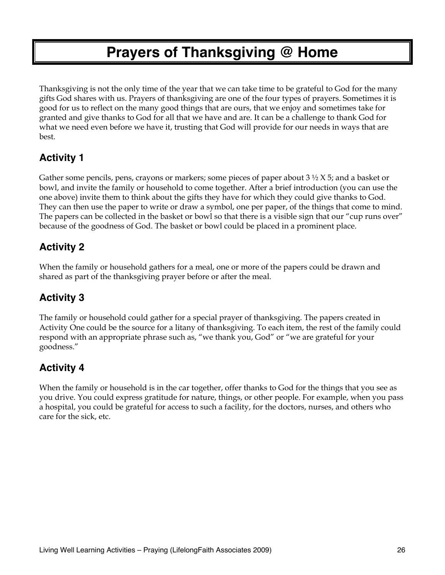# **Prayers of Thanksgiving @ Home**

Thanksgiving is not the only time of the year that we can take time to be grateful to God for the many gifts God shares with us. Prayers of thanksgiving are one of the four types of prayers. Sometimes it is good for us to reflect on the many good things that are ours, that we enjoy and sometimes take for granted and give thanks to God for all that we have and are. It can be a challenge to thank God for what we need even before we have it, trusting that God will provide for our needs in ways that are best.

## **Activity 1**

Gather some pencils, pens, crayons or markers; some pieces of paper about  $3\frac{1}{2}$  X 5; and a basket or bowl, and invite the family or household to come together. After a brief introduction (you can use the one above) invite them to think about the gifts they have for which they could give thanks to God. They can then use the paper to write or draw a symbol, one per paper, of the things that come to mind. The papers can be collected in the basket or bowl so that there is a visible sign that our "cup runs over" because of the goodness of God. The basket or bowl could be placed in a prominent place.

## **Activity 2**

When the family or household gathers for a meal, one or more of the papers could be drawn and shared as part of the thanksgiving prayer before or after the meal.

## **Activity 3**

The family or household could gather for a special prayer of thanksgiving. The papers created in Activity One could be the source for a litany of thanksgiving. To each item, the rest of the family could respond with an appropriate phrase such as, "we thank you, God" or "we are grateful for your goodness."

## **Activity 4**

When the family or household is in the car together, offer thanks to God for the things that you see as you drive. You could express gratitude for nature, things, or other people. For example, when you pass a hospital, you could be grateful for access to such a facility, for the doctors, nurses, and others who care for the sick, etc.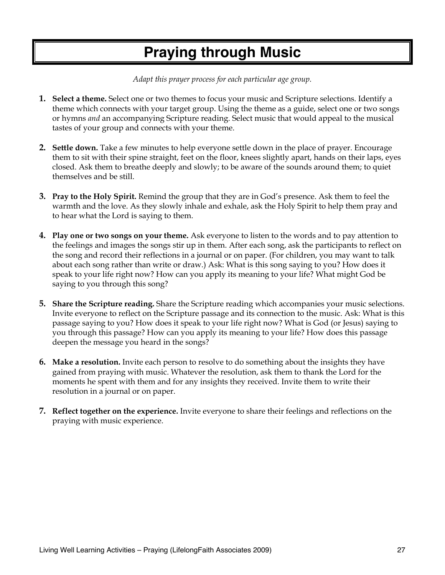# **Praying through Music**

*Adapt this prayer process for each particular age group.*

- **1. Select a theme.** Select one or two themes to focus your music and Scripture selections. Identify a theme which connects with your target group. Using the theme as a guide, select one or two songs or hymns *and* an accompanying Scripture reading. Select music that would appeal to the musical tastes of your group and connects with your theme.
- **2. Settle down.** Take a few minutes to help everyone settle down in the place of prayer. Encourage them to sit with their spine straight, feet on the floor, knees slightly apart, hands on their laps, eyes closed. Ask them to breathe deeply and slowly; to be aware of the sounds around them; to quiet themselves and be still.
- **3. Pray to the Holy Spirit.** Remind the group that they are in God's presence. Ask them to feel the warmth and the love. As they slowly inhale and exhale, ask the Holy Spirit to help them pray and to hear what the Lord is saying to them.
- **4. Play one or two songs on your theme.** Ask everyone to listen to the words and to pay attention to the feelings and images the songs stir up in them. After each song, ask the participants to reflect on the song and record their reflections in a journal or on paper. (For children, you may want to talk about each song rather than write or draw.) Ask: What is this song saying to you? How does it speak to your life right now? How can you apply its meaning to your life? What might God be saying to you through this song?
- **5. Share the Scripture reading.** Share the Scripture reading which accompanies your music selections. Invite everyone to reflect on the Scripture passage and its connection to the music. Ask: What is this passage saying to you? How does it speak to your life right now? What is God (or Jesus) saying to you through this passage? How can you apply its meaning to your life? How does this passage deepen the message you heard in the songs?
- **6. Make a resolution.** Invite each person to resolve to do something about the insights they have gained from praying with music. Whatever the resolution, ask them to thank the Lord for the moments he spent with them and for any insights they received. Invite them to write their resolution in a journal or on paper.
- **7. Reflect together on the experience.** Invite everyone to share their feelings and reflections on the praying with music experience.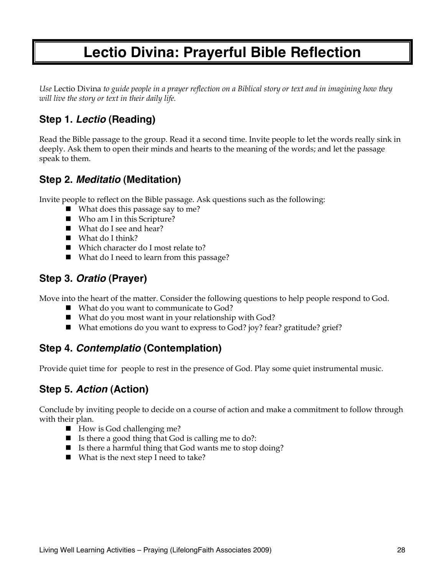# **Lectio Divina: Prayerful Bible Reflection**

*Use* Lectio Divina *to guide people in a prayer reflection on a Biblical story or text and in imagining how they will live the story or text in their daily life.* 

## **Step 1.** *Lectio* **(Reading)**

Read the Bible passage to the group. Read it a second time. Invite people to let the words really sink in deeply. Ask them to open their minds and hearts to the meaning of the words; and let the passage speak to them.

## **Step 2.** *Meditatio* **(Meditation)**

Invite people to reflect on the Bible passage. Ask questions such as the following:

- What does this passage say to me?
- Who am I in this Scripture?
- What do I see and hear?
- What do I think?
- Which character do I most relate to?
- What do I need to learn from this passage?

## **Step 3.** *Oratio* **(Prayer)**

Move into the heart of the matter. Consider the following questions to help people respond to God.

- What do you want to communicate to God?
- What do you most want in your relationship with God?
- What emotions do you want to express to God? joy? fear? gratitude? grief?

## **Step 4.** *Contemplatio* **(Contemplation)**

Provide quiet time for people to rest in the presence of God. Play some quiet instrumental music.

## **Step 5.** *Action* **(Action)**

Conclude by inviting people to decide on a course of action and make a commitment to follow through with their plan.

- How is God challenging me?
- If Is there a good thing that God is calling me to do?:
- $\blacksquare$  Is there a harmful thing that God wants me to stop doing?
- What is the next step I need to take?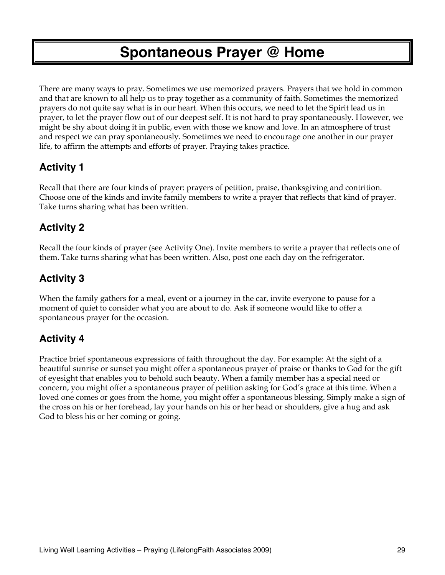# **Spontaneous Prayer @ Home**

There are many ways to pray. Sometimes we use memorized prayers. Prayers that we hold in common and that are known to all help us to pray together as a community of faith. Sometimes the memorized prayers do not quite say what is in our heart. When this occurs, we need to let the Spirit lead us in prayer, to let the prayer flow out of our deepest self. It is not hard to pray spontaneously. However, we might be shy about doing it in public, even with those we know and love. In an atmosphere of trust and respect we can pray spontaneously. Sometimes we need to encourage one another in our prayer life, to affirm the attempts and efforts of prayer. Praying takes practice.

## **Activity 1**

Recall that there are four kinds of prayer: prayers of petition, praise, thanksgiving and contrition. Choose one of the kinds and invite family members to write a prayer that reflects that kind of prayer. Take turns sharing what has been written.

## **Activity 2**

Recall the four kinds of prayer (see Activity One). Invite members to write a prayer that reflects one of them. Take turns sharing what has been written. Also, post one each day on the refrigerator.

## **Activity 3**

When the family gathers for a meal, event or a journey in the car, invite everyone to pause for a moment of quiet to consider what you are about to do. Ask if someone would like to offer a spontaneous prayer for the occasion.

## **Activity 4**

Practice brief spontaneous expressions of faith throughout the day. For example: At the sight of a beautiful sunrise or sunset you might offer a spontaneous prayer of praise or thanks to God for the gift of eyesight that enables you to behold such beauty. When a family member has a special need or concern, you might offer a spontaneous prayer of petition asking for God's grace at this time. When a loved one comes or goes from the home, you might offer a spontaneous blessing. Simply make a sign of the cross on his or her forehead, lay your hands on his or her head or shoulders, give a hug and ask God to bless his or her coming or going.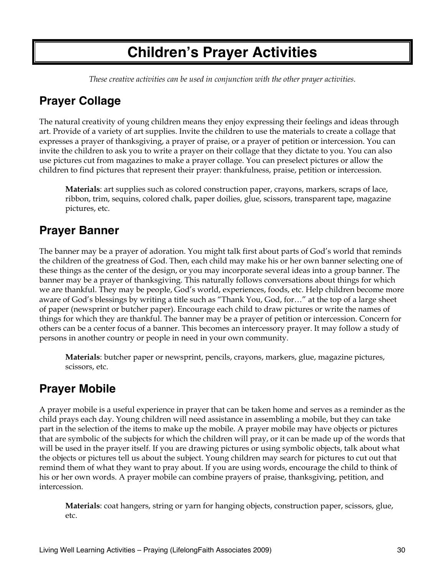# **Children's Prayer Activities**

*These creative activities can be used in conjunction with the other prayer activities.*

# **Prayer Collage**

The natural creativity of young children means they enjoy expressing their feelings and ideas through art. Provide of a variety of art supplies. Invite the children to use the materials to create a collage that expresses a prayer of thanksgiving, a prayer of praise, or a prayer of petition or intercession. You can invite the children to ask you to write a prayer on their collage that they dictate to you. You can also use pictures cut from magazines to make a prayer collage. You can preselect pictures or allow the children to find pictures that represent their prayer: thankfulness, praise, petition or intercession.

**Materials**: art supplies such as colored construction paper, crayons, markers, scraps of lace, ribbon, trim, sequins, colored chalk, paper doilies, glue, scissors, transparent tape, magazine pictures, etc.

# **Prayer Banner**

The banner may be a prayer of adoration. You might talk first about parts of God's world that reminds the children of the greatness of God. Then, each child may make his or her own banner selecting one of these things as the center of the design, or you may incorporate several ideas into a group banner. The banner may be a prayer of thanksgiving. This naturally follows conversations about things for which we are thankful. They may be people, God's world, experiences, foods, etc. Help children become more aware of God's blessings by writing a title such as "Thank You, God, for…" at the top of a large sheet of paper (newsprint or butcher paper). Encourage each child to draw pictures or write the names of things for which they are thankful. The banner may be a prayer of petition or intercession. Concern for others can be a center focus of a banner. This becomes an intercessory prayer. It may follow a study of persons in another country or people in need in your own community.

**Materials**: butcher paper or newsprint, pencils, crayons, markers, glue, magazine pictures, scissors, etc.

# **Prayer Mobile**

A prayer mobile is a useful experience in prayer that can be taken home and serves as a reminder as the child prays each day. Young children will need assistance in assembling a mobile, but they can take part in the selection of the items to make up the mobile. A prayer mobile may have objects or pictures that are symbolic of the subjects for which the children will pray, or it can be made up of the words that will be used in the prayer itself. If you are drawing pictures or using symbolic objects, talk about what the objects or pictures tell us about the subject. Young children may search for pictures to cut out that remind them of what they want to pray about. If you are using words, encourage the child to think of his or her own words. A prayer mobile can combine prayers of praise, thanksgiving, petition, and intercession.

**Materials**: coat hangers, string or yarn for hanging objects, construction paper, scissors, glue, etc.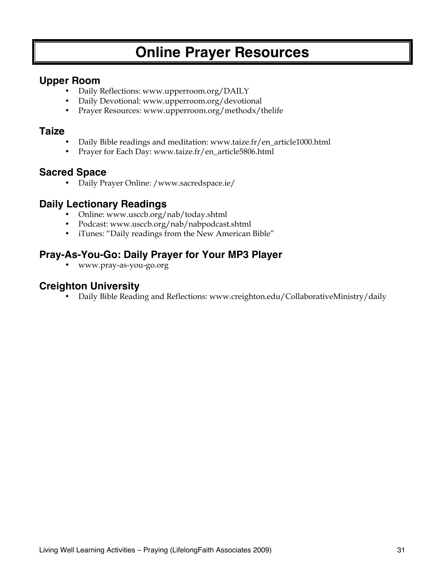# **Online Prayer Resources**

## **Upper Room**

- Daily Reflections: www.upperroom.org/DAILY
- Daily Devotional: www.upperroom.org/devotional
- Prayer Resources: www.upperroom.org/methodx/thelife

### **Taize**

- Daily Bible readings and meditation: www.taize.fr/en\_article1000.html
- Prayer for Each Day: www.taize.fr/en\_article5806.html

## **Sacred Space**

• Daily Prayer Online: /www.sacredspace.ie/

## **Daily Lectionary Readings**

- Online: www.usccb.org/nab/today.shtml
- Podcast: www.usccb.org/nab/nabpodcast.shtml
- iTunes: "Daily readings from the New American Bible"

## **Pray-As-You-Go: Daily Prayer for Your MP3 Player**

• www.pray-as-you-go.org

## **Creighton University**

• Daily Bible Reading and Reflections: www.creighton.edu/CollaborativeMinistry/daily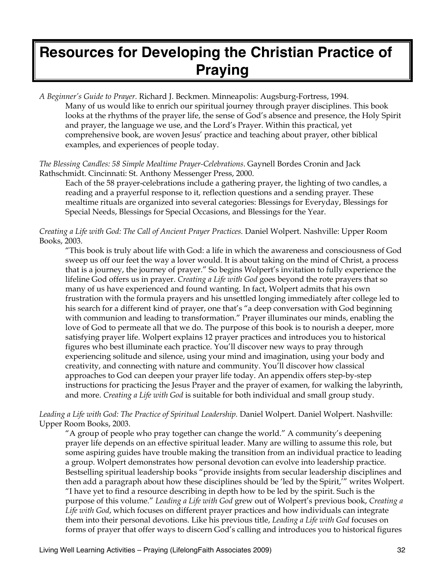# **Resources for Developing the Christian Practice of Praying**

*A Beginner's Guide to Prayer.* Richard J. Beckmen. Minneapolis: Augsburg-Fortress, 1994. Many of us would like to enrich our spiritual journey through prayer disciplines. This book looks at the rhythms of the prayer life, the sense of God's absence and presence, the Holy Spirit and prayer, the language we use, and the Lord's Prayer. Within this practical, yet comprehensive book, are woven Jesus' practice and teaching about prayer, other biblical examples, and experiences of people today.

*The Blessing Candles: 58 Simple Mealtime Prayer-Celebrations*. Gaynell Bordes Cronin and Jack Rathschmidt. Cincinnati: St. Anthony Messenger Press, 2000.

Each of the 58 prayer-celebrations include a gathering prayer, the lighting of two candles, a reading and a prayerful response to it, reflection questions and a sending prayer. These mealtime rituals are organized into several categories: Blessings for Everyday, Blessings for Special Needs, Blessings for Special Occasions, and Blessings for the Year.

#### *Creating a Life with God: The Call of Ancient Prayer Practices.* Daniel Wolpert. Nashville: Upper Room Books, 2003.

"This book is truly about life with God: a life in which the awareness and consciousness of God sweep us off our feet the way a lover would. It is about taking on the mind of Christ, a process that is a journey, the journey of prayer." So begins Wolpert's invitation to fully experience the lifeline God offers us in prayer. *Creating a Life with God* goes beyond the rote prayers that so many of us have experienced and found wanting. In fact, Wolpert admits that his own frustration with the formula prayers and his unsettled longing immediately after college led to his search for a different kind of prayer, one that's "a deep conversation with God beginning with communion and leading to transformation." Prayer illuminates our minds, enabling the love of God to permeate all that we do. The purpose of this book is to nourish a deeper, more satisfying prayer life. Wolpert explains 12 prayer practices and introduces you to historical figures who best illuminate each practice. You'll discover new ways to pray through experiencing solitude and silence, using your mind and imagination, using your body and creativity, and connecting with nature and community. You'll discover how classical approaches to God can deepen your prayer life today. An appendix offers step-by-step instructions for practicing the Jesus Prayer and the prayer of examen, for walking the labyrinth, and more. *Creating a Life with God* is suitable for both individual and small group study.

#### *Leading a Life with God: The Practice of Spiritual Leadership.* Daniel Wolpert. Daniel Wolpert. Nashville: Upper Room Books, 2003.

"A group of people who pray together can change the world." A community's deepening prayer life depends on an effective spiritual leader. Many are willing to assume this role, but some aspiring guides have trouble making the transition from an individual practice to leading a group. Wolpert demonstrates how personal devotion can evolve into leadership practice. Bestselling spiritual leadership books "provide insights from secular leadership disciplines and then add a paragraph about how these disciplines should be 'led by the Spirit,'" writes Wolpert. "I have yet to find a resource describing in depth how to be led by the spirit. Such is the purpose of this volume." *Leading a Life with God* grew out of Wolpert's previous book, *Creating a Life with God*, which focuses on different prayer practices and how individuals can integrate them into their personal devotions. Like his previous title, *Leading a Life with God* focuses on forms of prayer that offer ways to discern God's calling and introduces you to historical figures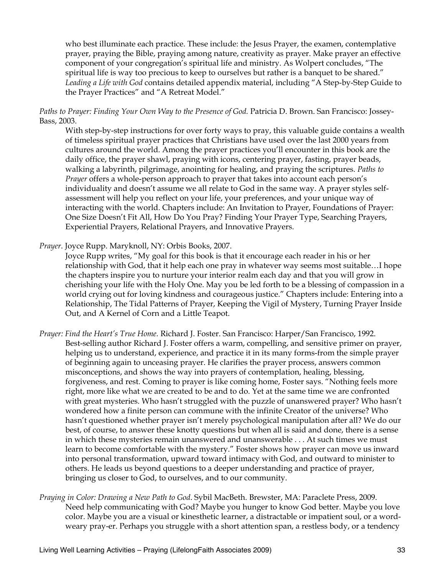who best illuminate each practice. These include: the Jesus Prayer, the examen, contemplative prayer, praying the Bible, praying among nature, creativity as prayer. Make prayer an effective component of your congregation's spiritual life and ministry. As Wolpert concludes, "The spiritual life is way too precious to keep to ourselves but rather is a banquet to be shared." *Leading a Life with God* contains detailed appendix material, including "A Step-by-Step Guide to the Prayer Practices" and "A Retreat Model."

*Paths to Prayer: Finding Your Own Way to the Presence of God.* Patricia D. Brown. San Francisco: Jossey-Bass, 2003.

With step-by-step instructions for over forty ways to pray, this valuable guide contains a wealth of timeless spiritual prayer practices that Christians have used over the last 2000 years from cultures around the world. Among the prayer practices you'll encounter in this book are the daily office, the prayer shawl, praying with icons, centering prayer, fasting, prayer beads, walking a labyrinth, pilgrimage, anointing for healing, and praying the scriptures. *Paths to Prayer* offers a whole-person approach to prayer that takes into account each person's individuality and doesn't assume we all relate to God in the same way. A prayer styles selfassessment will help you reflect on your life, your preferences, and your unique way of interacting with the world. Chapters include: An Invitation to Prayer, Foundations of Prayer: One Size Doesn't Fit All, How Do You Pray? Finding Your Prayer Type, Searching Prayers, Experiential Prayers, Relational Prayers, and Innovative Prayers.

#### *Prayer*. Joyce Rupp. Maryknoll, NY: Orbis Books, 2007.

Joyce Rupp writes, "My goal for this book is that it encourage each reader in his or her relationship with God, that it help each one pray in whatever way seems most suitable…I hope the chapters inspire you to nurture your interior realm each day and that you will grow in cherishing your life with the Holy One. May you be led forth to be a blessing of compassion in a world crying out for loving kindness and courageous justice." Chapters include: Entering into a Relationship, The Tidal Patterns of Prayer, Keeping the Vigil of Mystery, Turning Prayer Inside Out, and A Kernel of Corn and a Little Teapot.

*Prayer: Find the Heart's True Home.* Richard J. Foster. San Francisco: Harper/San Francisco, 1992. Best-selling author Richard J. Foster offers a warm, compelling, and sensitive primer on prayer, helping us to understand, experience, and practice it in its many forms-from the simple prayer of beginning again to unceasing prayer. He clarifies the prayer process, answers common misconceptions, and shows the way into prayers of contemplation, healing, blessing, forgiveness, and rest. Coming to prayer is like coming home, Foster says. "Nothing feels more right, more like what we are created to be and to do. Yet at the same time we are confronted with great mysteries. Who hasn't struggled with the puzzle of unanswered prayer? Who hasn't wondered how a finite person can commune with the infinite Creator of the universe? Who hasn't questioned whether prayer isn't merely psychological manipulation after all? We do our best, of course, to answer these knotty questions but when all is said and done, there is a sense in which these mysteries remain unanswered and unanswerable . . . At such times we must learn to become comfortable with the mystery." Foster shows how prayer can move us inward into personal transformation, upward toward intimacy with God, and outward to minister to others. He leads us beyond questions to a deeper understanding and practice of prayer, bringing us closer to God, to ourselves, and to our community.

*Praying in Color: Drawing a New Path to God*. Sybil MacBeth. Brewster, MA: Paraclete Press, 2009. Need help communicating with God? Maybe you hunger to know God better. Maybe you love color. Maybe you are a visual or kinesthetic learner, a distractable or impatient soul, or a wordweary pray-er. Perhaps you struggle with a short attention span, a restless body, or a tendency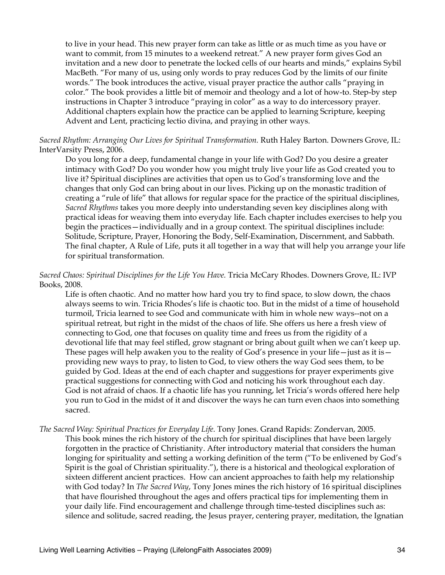to live in your head. This new prayer form can take as little or as much time as you have or want to commit, from 15 minutes to a weekend retreat." A new prayer form gives God an invitation and a new door to penetrate the locked cells of our hearts and minds," explains Sybil MacBeth. "For many of us, using only words to pray reduces God by the limits of our finite words." The book introduces the active, visual prayer practice the author calls "praying in color." The book provides a little bit of memoir and theology and a lot of how-to. Step-by step instructions in Chapter 3 introduce "praying in color" as a way to do intercessory prayer. Additional chapters explain how the practice can be applied to learning Scripture, keeping Advent and Lent, practicing lectio divina, and praying in other ways.

*Sacred Rhythm: Arranging Our Lives for Spiritual Transformation.* Ruth Haley Barton. Downers Grove, IL: InterVarsity Press, 2006.

Do you long for a deep, fundamental change in your life with God? Do you desire a greater intimacy with God? Do you wonder how you might truly live your life as God created you to live it? Spiritual disciplines are activities that open us to God's transforming love and the changes that only God can bring about in our lives. Picking up on the monastic tradition of creating a "rule of life" that allows for regular space for the practice of the spiritual disciplines, *Sacred Rhythms* takes you more deeply into understanding seven key disciplines along with practical ideas for weaving them into everyday life. Each chapter includes exercises to help you begin the practices—individually and in a group context. The spiritual disciplines include: Solitude, Scripture, Prayer, Honoring the Body, Self-Examination, Discernment, and Sabbath. The final chapter, A Rule of Life, puts it all together in a way that will help you arrange your life for spiritual transformation.

*Sacred Chaos: Spiritual Disciplines for the Life You Have.* Tricia McCary Rhodes. Downers Grove, IL: IVP Books, 2008.

Life is often chaotic. And no matter how hard you try to find space, to slow down, the chaos always seems to win. Tricia Rhodes's life is chaotic too. But in the midst of a time of household turmoil, Tricia learned to see God and communicate with him in whole new ways--not on a spiritual retreat, but right in the midst of the chaos of life. She offers us here a fresh view of connecting to God, one that focuses on quality time and frees us from the rigidity of a devotional life that may feel stifled, grow stagnant or bring about guilt when we can't keep up. These pages will help awaken you to the reality of God's presence in your life—just as it is providing new ways to pray, to listen to God, to view others the way God sees them, to be guided by God. Ideas at the end of each chapter and suggestions for prayer experiments give practical suggestions for connecting with God and noticing his work throughout each day. God is not afraid of chaos. If a chaotic life has you running, let Tricia's words offered here help you run to God in the midst of it and discover the ways he can turn even chaos into something sacred.

*The Sacred Way: Spiritual Practices for Everyday Life*. Tony Jones. Grand Rapids: Zondervan, 2005. This book mines the rich history of the church for spiritual disciplines that have been largely forgotten in the practice of Christianity. After introductory material that considers the human longing for spirituality and setting a working definition of the term ("To be enlivened by God's Spirit is the goal of Christian spirituality."), there is a historical and theological exploration of sixteen different ancient practices. How can ancient approaches to faith help my relationship with God today? In *The Sacred Way*, Tony Jones mines the rich history of 16 spiritual disciplines that have flourished throughout the ages and offers practical tips for implementing them in your daily life. Find encouragement and challenge through time-tested disciplines such as: silence and solitude, sacred reading, the Jesus prayer, centering prayer, meditation, the Ignatian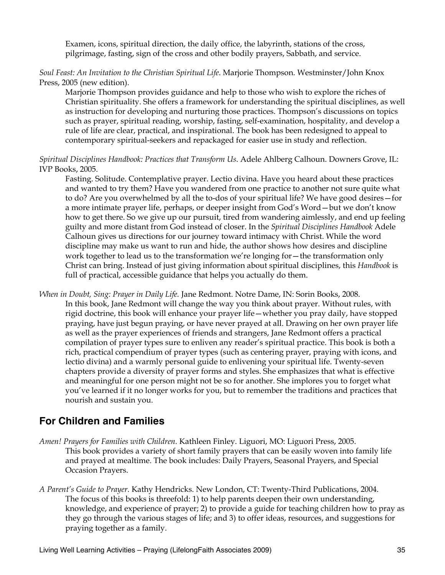Examen, icons, spiritual direction, the daily office, the labyrinth, stations of the cross, pilgrimage, fasting, sign of the cross and other bodily prayers, Sabbath, and service.

#### *Soul Feast: An Invitation to the Christian Spiritual Life*. Marjorie Thompson. Westminster/John Knox Press, 2005 (new edition).

Marjorie Thompson provides guidance and help to those who wish to explore the riches of Christian spirituality. She offers a framework for understanding the spiritual disciplines, as well as instruction for developing and nurturing those practices. Thompson's discussions on topics such as prayer, spiritual reading, worship, fasting, self-examination, hospitality, and develop a rule of life are clear, practical, and inspirational. The book has been redesigned to appeal to contemporary spiritual-seekers and repackaged for easier use in study and reflection.

#### *Spiritual Disciplines Handbook: Practices that Transform Us*. Adele Ahlberg Calhoun. Downers Grove, IL: IVP Books, 2005.

Fasting. Solitude. Contemplative prayer. Lectio divina. Have you heard about these practices and wanted to try them? Have you wandered from one practice to another not sure quite what to do? Are you overwhelmed by all the to-dos of your spiritual life? We have good desires—for a more intimate prayer life, perhaps, or deeper insight from God's Word—but we don't know how to get there. So we give up our pursuit, tired from wandering aimlessly, and end up feeling guilty and more distant from God instead of closer. In the *Spiritual Disciplines Handbook* Adele Calhoun gives us directions for our journey toward intimacy with Christ. While the word discipline may make us want to run and hide, the author shows how desires and discipline work together to lead us to the transformation we're longing for—the transformation only Christ can bring. Instead of just giving information about spiritual disciplines, this *Handbook* is full of practical, accessible guidance that helps you actually do them.

*When in Doubt, Sing: Prayer in Daily Life.* Jane Redmont. Notre Dame, IN: Sorin Books, 2008. In this book, Jane Redmont will change the way you think about prayer. Without rules, with rigid doctrine, this book will enhance your prayer life—whether you pray daily, have stopped praying, have just begun praying, or have never prayed at all. Drawing on her own prayer life as well as the prayer experiences of friends and strangers, Jane Redmont offers a practical compilation of prayer types sure to enliven any reader's spiritual practice. This book is both a rich, practical compendium of prayer types (such as centering prayer, praying with icons, and lectio divina) and a warmly personal guide to enlivening your spiritual life. Twenty-seven chapters provide a diversity of prayer forms and styles. She emphasizes that what is effective and meaningful for one person might not be so for another. She implores you to forget what you've learned if it no longer works for you, but to remember the traditions and practices that nourish and sustain you.

## **For Children and Families**

- *Amen! Prayers for Families with Children.* Kathleen Finley. Liguori, MO: Liguori Press, 2005. This book provides a variety of short family prayers that can be easily woven into family life and prayed at mealtime. The book includes: Daily Prayers, Seasonal Prayers, and Special Occasion Prayers.
- *A Parent's Guide to Prayer.* Kathy Hendricks. New London, CT: Twenty-Third Publications, 2004. The focus of this books is threefold: 1) to help parents deepen their own understanding, knowledge, and experience of prayer; 2) to provide a guide for teaching children how to pray as they go through the various stages of life; and 3) to offer ideas, resources, and suggestions for praying together as a family.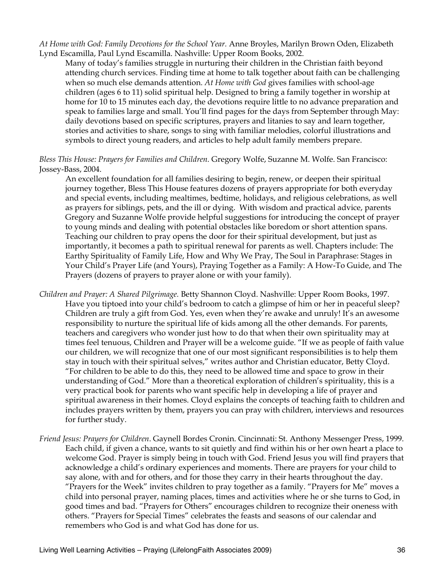*At Home with God: Family Devotions for the School Year.* Anne Broyles, Marilyn Brown Oden, Elizabeth Lynd Escamilla, Paul Lynd Escamilla. Nashville: Upper Room Books, 2002.

Many of today's families struggle in nurturing their children in the Christian faith beyond attending church services. Finding time at home to talk together about faith can be challenging when so much else demands attention. *At Home with God* gives families with school-age children (ages 6 to 11) solid spiritual help. Designed to bring a family together in worship at home for 10 to 15 minutes each day, the devotions require little to no advance preparation and speak to families large and small. You'll find pages for the days from September through May: daily devotions based on specific scriptures, prayers and litanies to say and learn together, stories and activities to share, songs to sing with familiar melodies, colorful illustrations and symbols to direct young readers, and articles to help adult family members prepare.

#### *Bless This House: Prayers for Families and Children.* Gregory Wolfe, Suzanne M. Wolfe. San Francisco: Jossey-Bass, 2004.

An excellent foundation for all families desiring to begin, renew, or deepen their spiritual journey together, Bless This House features dozens of prayers appropriate for both everyday and special events, including mealtimes, bedtime, holidays, and religious celebrations, as well as prayers for siblings, pets, and the ill or dying. With wisdom and practical advice, parents Gregory and Suzanne Wolfe provide helpful suggestions for introducing the concept of prayer to young minds and dealing with potential obstacles like boredom or short attention spans. Teaching our children to pray opens the door for their spiritual development, but just as importantly, it becomes a path to spiritual renewal for parents as well. Chapters include: The Earthy Spirituality of Family Life, How and Why We Pray, The Soul in Paraphrase: Stages in Your Child's Prayer Life (and Yours), Praying Together as a Family: A How-To Guide, and The Prayers (dozens of prayers to prayer alone or with your family).

- *Children and Prayer: A Shared Pilgrimage.* Betty Shannon Cloyd. Nashville: Upper Room Books, 1997. Have you tiptoed into your child's bedroom to catch a glimpse of him or her in peaceful sleep? Children are truly a gift from God. Yes, even when they're awake and unruly! It's an awesome responsibility to nurture the spiritual life of kids among all the other demands. For parents, teachers and caregivers who wonder just how to do that when their own spirituality may at times feel tenuous, Children and Prayer will be a welcome guide. "If we as people of faith value our children, we will recognize that one of our most significant responsibilities is to help them stay in touch with their spiritual selves," writes author and Christian educator, Betty Cloyd. "For children to be able to do this, they need to be allowed time and space to grow in their understanding of God." More than a theoretical exploration of children's spirituality, this is a very practical book for parents who want specific help in developing a life of prayer and spiritual awareness in their homes. Cloyd explains the concepts of teaching faith to children and includes prayers written by them, prayers you can pray with children, interviews and resources for further study.
- *Friend Jesus: Prayers for Children*. Gaynell Bordes Cronin. Cincinnati: St. Anthony Messenger Press, 1999. Each child, if given a chance, wants to sit quietly and find within his or her own heart a place to welcome God. Prayer is simply being in touch with God. Friend Jesus you will find prayers that acknowledge a child's ordinary experiences and moments. There are prayers for your child to say alone, with and for others, and for those they carry in their hearts throughout the day. "Prayers for the Week" invites children to pray together as a family. "Prayers for Me" moves a child into personal prayer, naming places, times and activities where he or she turns to God, in good times and bad. "Prayers for Others" encourages children to recognize their oneness with others. "Prayers for Special Times" celebrates the feasts and seasons of our calendar and remembers who God is and what God has done for us.